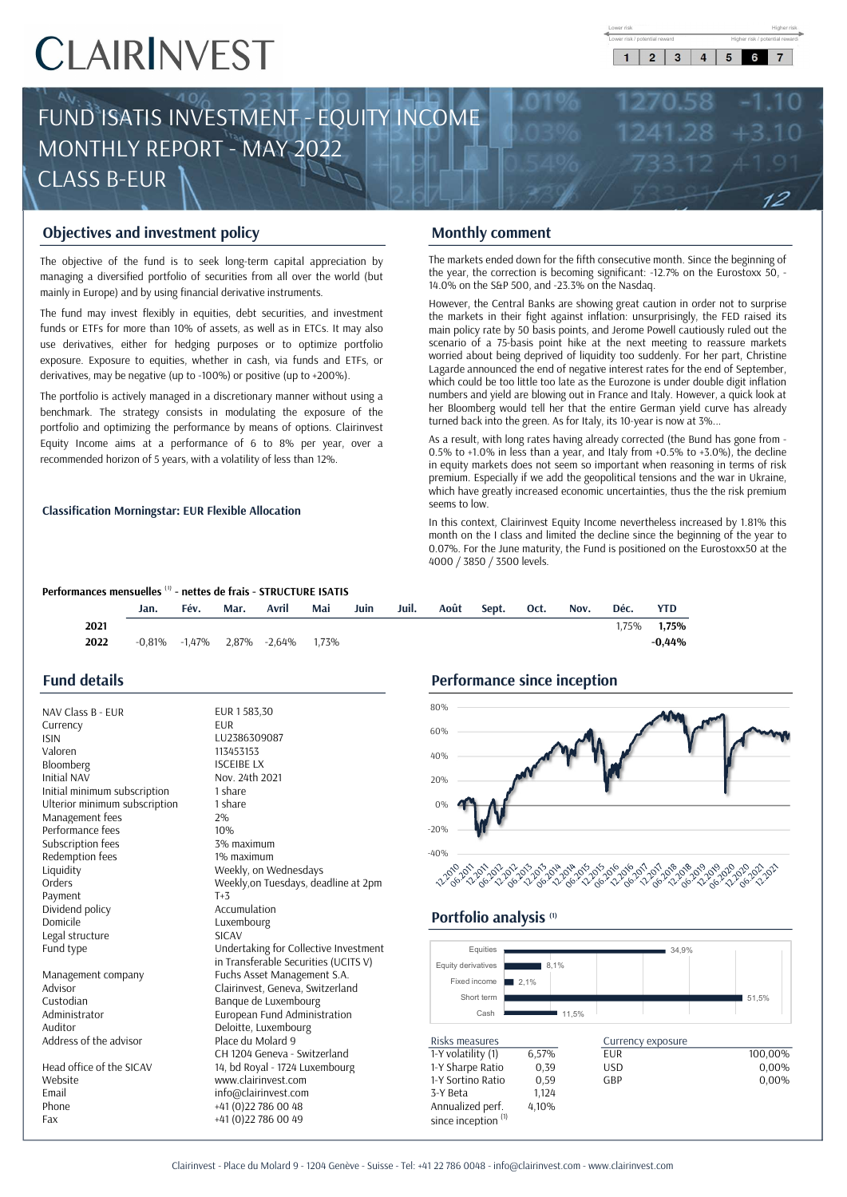5 6 7

 $\overline{2}$  $\mathbf{3}$ 



# Objectives and investment policy Monthly comment

ULASS B-EUR<br>
Objectives and investment policy<br>
The objectives and investment policy<br>
The objectives derivative instruments<br>
managing a diversified portfolio of securities from all over the world (but<br>
managing a diversifie **EXPOSE CONTROVIDENT CONTROVIDENT THE CONTROVIDENT THE OPERATOR CONTROVIDENT THE OPERATOR OF CONTROVIDENT THE MANGER CONTROVIDENT THE PUTAL DEPT THE FUND AND USING THE FUND AND USING THE FUND AND THE PUTAL DEPT SONG THE ST Community Community Community**<br>
The objectives and investment policy<br>
The objective of the fund is to seek long-term capital appreciation by<br>
managing a diversified portfolio of securities from all over the world (but<br>
th **Objectives and investment policy**<br>
The objective of the fund is to seek long-term capital appreciation by<br>
managing a diversified portfolio of securities from all over the world (but<br>
The markets ended down for the fifth **CONSECTIVES and INVESTINENT POINTY**<br>
The objective of the fund is to seek long-term capital appreciation by<br>
managing a diversified portfolio of securities from all over the world (but<br>
The markets ended down for the fift The objective of the fund is to seek long-term capital appreciation by<br>
managing a diversified portfolio of securities from all over the world (but<br>
mainly in Europe) and by using financial derivative instruments.<br>
The fu managing a diversified portfolio of securities from all over the world (but<br>
The fund may invest flexibly in equities, debt securities, and investment<br>
The fund may invest flexibly in equities, debt securities, and investm mainly in Europe) and by using financial derivative instruments.<br>
The fund may invest flexibly in equities, debt securities, and investment<br>
funds or ETFs for more than 10% of assets, as well as in ETCs. It may also<br>
main

### Classification Morningstar: EUR Flexible Allocation

**Monthly comment**<br>
The markets ended down for the fifth consecutive month. Since the beginning of<br>
the year, the correction is becoming significant: -12.7% on the Eurostoxx 50, -<br>
14.0% on the SEP 500, and -23.3% on the Na **Scenario of a 75-basis point in the fifth consecutive month.** Since the beginning of the year, the correction is becoming significant: -12.7% on the Eurostoxx 50, -14.0% on the S&P 500, and -23.3% on the Nasdaq.<br>However, Monthly comment<br>The markets ended down for the fifth consecutive month. Since the beginning of<br>the year, the correction is becoming significant: -12.7% on the Eurostoxx 50, -<br>14.0% on the S&P 500, and -23.3% on the Nasdaq. **Monthly comment**<br>
The markets ended down for the fifth consecutive month. Since the beginning of<br>
the year, the correction is becoming significant: -12.7% on the Eurostoxx 50, -<br>
14.0% on the SEP 500, and -23.3% on the Na **Monthly comment**<br>The markets ended down for the fifth consecutive month. Since the beginning of<br>the year, the correction is becoming significant: -12.7% on the Eurostoxx 50, -<br>14.0% on the S&P 500, and -23.3% on the Nasda **Monthly comment**<br>The markets ended down for the fifth consecutive month. Since the beginning of<br>the year, the correction is becoming significant: -12.7% on the Eurostoxx 50, -<br>14.0% on the S&P 500, and -23.3% on the Nasd **MONTHIIY COMMENT**<br>The markets ended down for the fifth consecutive month. Since the beginning of<br>the year, the correction is becoming significant: -12.7% on the Eurostoxx 50, -<br>14.0% on the S&P 500, and -23.3% on the Nas The markets ended down for the fifth consecutive month. Since the beginning of<br>the year, the correction is becoming significant: -12.7% on the Eurostoxx 50, -<br>14.0% on the S&P 500, and -23.3% on the Nasdaq.<br>However, the Ce the war, the correction is becoming significant: -12.7% on the Eurostoxx 50, -<br>14.0% on the S&P 500, and -23.3% on the Nasdaq.<br>However, the Central Banks are showing great caution in order not to surprise<br>the markets in t 1.0% to the Concellation is becoming biginmuching. The Landon of the Nasdaque Halow on the Sep 500, and -23.3% on the Nasdaque However, the Central Banks are showing great caution in order not to surprise the markets in th From the Central Banks are showing great caution in order not to surprise However, the Central Banks are showing great caution in order not to surprise the markets in their fight against inflation: unsurprisingly, the FED However, the Central Banks are showing great caution in order not to surprise<br>the markets in their fight against infilation: unsurprisingly, the FED raised its<br>main policy rate by 50 basis points, and Jerome Powell cautiou the markets in their fight against inflation: unsurprisingly, the FED raised its<br>main policy rate by 50 basis points, and Jerome Powell cautiously ruled out the<br>scenario of a 75-basis point hike at the next meeting to rea man policy rate by 50 basis points, and Jerome Powell caut<br>scenario of a 75-basis point hike at the next meeting to<br>worried about being deprived of liquidity too suddenly. For<br>Lagarde announced the end of negative interest Social context and the mean in the context and the mean in the mean in this context of the state of  $\mu$  and  $\mu$  and  $\mu$  and  $\mu$  and  $\mu$  and  $\mu$  and  $\mu$  and  $\mu$  and  $\mu$  and  $\mu$  and  $\mu$  and  $\mu$  and  $\mu$  and  $\mu$ 

which could be the I class and limited the decline since and the Eurostox-S0 at the particle and on the I class are Eurozone is under double digit inflation numbers and yield are blowing out in France and Italy. However, expact antwo content of the Burgarithm and Haly. However, a quick look at her Bloomberg would tell her that the entire German yield curve has already turned back into the green. As for Italy, its 10-year is now at 3%...<br>As mumbers and yield are bowing out in France and Italy. However, a quick numbers and yield are blowing out in France and Italy. However, a quick the Bloomberg would tell her that the entire German yield curve has turned bac

| Performances mensuelles <sup>(1)</sup> - nettes de frais - STRUCTURE ISATIS |      |      |      |                                                 |     |      |       |      |       |      |      |       |            |
|-----------------------------------------------------------------------------|------|------|------|-------------------------------------------------|-----|------|-------|------|-------|------|------|-------|------------|
|                                                                             | Jan. | Fév. | Mar. | Avril                                           | Mai | Juin | Juil. | Août | Sept. | Oct. | Nov. | Déc.  | <b>YTD</b> |
| 2021                                                                        |      |      |      |                                                 |     |      |       |      |       |      |      | 1.75% | 1.75%      |
| 2022                                                                        |      |      |      | $-0.81\%$ $-1.47\%$ $2.87\%$ $-2.64\%$ $1.73\%$ |     |      |       |      |       |      |      |       | $-0.44%$   |
|                                                                             |      |      |      |                                                 |     |      |       |      |       |      |      |       |            |

## Fund details

| 80%<br>EUR 1583,30    |                                                                                                                                                                                                                                                                                                                                                                                                                                                                                                                                                                                                                                                                                                                                                                                                                           |
|-----------------------|---------------------------------------------------------------------------------------------------------------------------------------------------------------------------------------------------------------------------------------------------------------------------------------------------------------------------------------------------------------------------------------------------------------------------------------------------------------------------------------------------------------------------------------------------------------------------------------------------------------------------------------------------------------------------------------------------------------------------------------------------------------------------------------------------------------------------|
|                       |                                                                                                                                                                                                                                                                                                                                                                                                                                                                                                                                                                                                                                                                                                                                                                                                                           |
|                       |                                                                                                                                                                                                                                                                                                                                                                                                                                                                                                                                                                                                                                                                                                                                                                                                                           |
|                       |                                                                                                                                                                                                                                                                                                                                                                                                                                                                                                                                                                                                                                                                                                                                                                                                                           |
|                       |                                                                                                                                                                                                                                                                                                                                                                                                                                                                                                                                                                                                                                                                                                                                                                                                                           |
|                       |                                                                                                                                                                                                                                                                                                                                                                                                                                                                                                                                                                                                                                                                                                                                                                                                                           |
| 20%                   |                                                                                                                                                                                                                                                                                                                                                                                                                                                                                                                                                                                                                                                                                                                                                                                                                           |
|                       |                                                                                                                                                                                                                                                                                                                                                                                                                                                                                                                                                                                                                                                                                                                                                                                                                           |
| 0%                    |                                                                                                                                                                                                                                                                                                                                                                                                                                                                                                                                                                                                                                                                                                                                                                                                                           |
|                       |                                                                                                                                                                                                                                                                                                                                                                                                                                                                                                                                                                                                                                                                                                                                                                                                                           |
| $-20%$                |                                                                                                                                                                                                                                                                                                                                                                                                                                                                                                                                                                                                                                                                                                                                                                                                                           |
|                       |                                                                                                                                                                                                                                                                                                                                                                                                                                                                                                                                                                                                                                                                                                                                                                                                                           |
| $-40%$                |                                                                                                                                                                                                                                                                                                                                                                                                                                                                                                                                                                                                                                                                                                                                                                                                                           |
|                       |                                                                                                                                                                                                                                                                                                                                                                                                                                                                                                                                                                                                                                                                                                                                                                                                                           |
|                       |                                                                                                                                                                                                                                                                                                                                                                                                                                                                                                                                                                                                                                                                                                                                                                                                                           |
|                       |                                                                                                                                                                                                                                                                                                                                                                                                                                                                                                                                                                                                                                                                                                                                                                                                                           |
|                       |                                                                                                                                                                                                                                                                                                                                                                                                                                                                                                                                                                                                                                                                                                                                                                                                                           |
|                       |                                                                                                                                                                                                                                                                                                                                                                                                                                                                                                                                                                                                                                                                                                                                                                                                                           |
|                       |                                                                                                                                                                                                                                                                                                                                                                                                                                                                                                                                                                                                                                                                                                                                                                                                                           |
| Equities              |                                                                                                                                                                                                                                                                                                                                                                                                                                                                                                                                                                                                                                                                                                                                                                                                                           |
|                       |                                                                                                                                                                                                                                                                                                                                                                                                                                                                                                                                                                                                                                                                                                                                                                                                                           |
|                       |                                                                                                                                                                                                                                                                                                                                                                                                                                                                                                                                                                                                                                                                                                                                                                                                                           |
|                       |                                                                                                                                                                                                                                                                                                                                                                                                                                                                                                                                                                                                                                                                                                                                                                                                                           |
|                       |                                                                                                                                                                                                                                                                                                                                                                                                                                                                                                                                                                                                                                                                                                                                                                                                                           |
| Cash                  |                                                                                                                                                                                                                                                                                                                                                                                                                                                                                                                                                                                                                                                                                                                                                                                                                           |
|                       |                                                                                                                                                                                                                                                                                                                                                                                                                                                                                                                                                                                                                                                                                                                                                                                                                           |
| Risks measures        |                                                                                                                                                                                                                                                                                                                                                                                                                                                                                                                                                                                                                                                                                                                                                                                                                           |
| 1-Y volatility (1)    | 6,57%                                                                                                                                                                                                                                                                                                                                                                                                                                                                                                                                                                                                                                                                                                                                                                                                                     |
|                       | 0,39                                                                                                                                                                                                                                                                                                                                                                                                                                                                                                                                                                                                                                                                                                                                                                                                                      |
| 1-Y Sortino Ratio     | 0,59                                                                                                                                                                                                                                                                                                                                                                                                                                                                                                                                                                                                                                                                                                                                                                                                                      |
| 3-Y Beta              | 1,124                                                                                                                                                                                                                                                                                                                                                                                                                                                                                                                                                                                                                                                                                                                                                                                                                     |
| Annualized perf.      | 4,10%                                                                                                                                                                                                                                                                                                                                                                                                                                                                                                                                                                                                                                                                                                                                                                                                                     |
| since inception $(1)$ |                                                                                                                                                                                                                                                                                                                                                                                                                                                                                                                                                                                                                                                                                                                                                                                                                           |
| 1 share<br>1 share    | 60%<br>LU2386309087<br>113453153<br>40%<br><b>ISCEIBE LX</b><br>Nov. 24th 2021<br>3% maximum<br>1% maximum<br>Weekly, on Wednesdays<br>م کی دی کرد کرد کرد کرده کرد.<br>مرکز کرد کرد کرد کرد کرد کرد کرد کرد کرد<br>Weekly, on Tuesdays, deadline at 2pm<br>Accumulation<br>Portfolio analysis (1)<br>Luxembourg<br>Undertaking for Collective Investment<br>in Transferable Securities (UCITS V)<br>Equity derivatives<br>Fuchs Asset Management S.A.<br>Fixed income<br>2,1%<br>Clairinvest, Geneva, Switzerland<br>Short term<br>Banque de Luxembourg<br>European Fund Administration<br>Deloitte, Luxembourg<br>Place du Molard 9<br>CH 1204 Geneva - Switzerland<br>1-Y Sharpe Ratio<br>14, bd Royal - 1724 Luxembourg<br>www.clairinvest.com<br>info@clairinvest.com<br>+41 (0) 22 786 00 48<br>+41 (0)22 786 00 49 |

# Performance since inception



### Portfolio analysis<sup>(1)</sup>